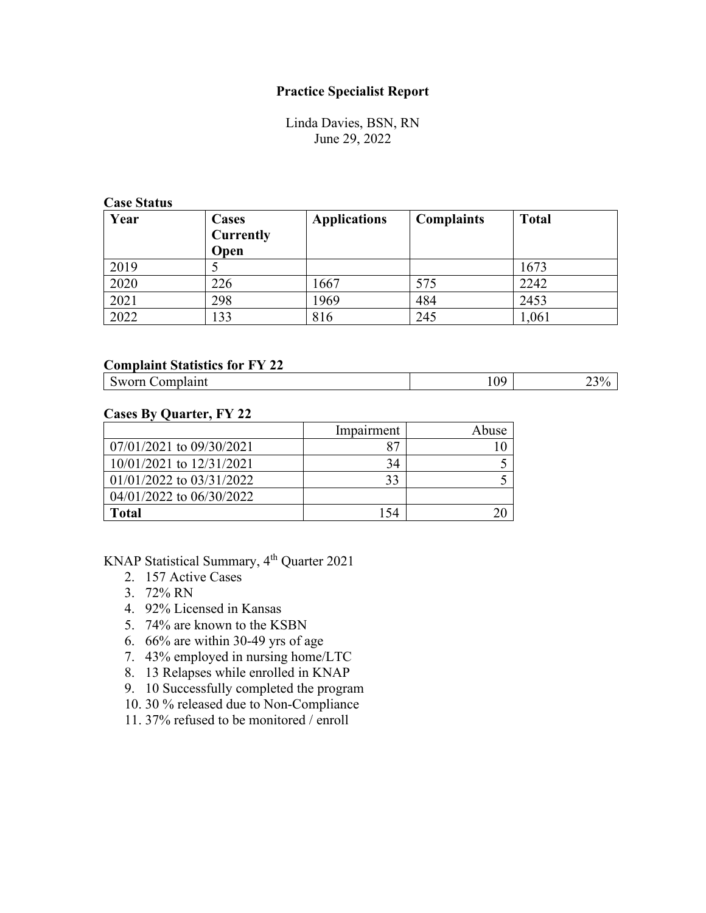## **Practice Specialist Report**

Linda Davies, BSN, RN June 29, 2022

### **Case Status**

| Year | <b>Cases</b><br><b>Currently</b><br>Open | <b>Applications</b> | <b>Complaints</b> | <b>Total</b> |
|------|------------------------------------------|---------------------|-------------------|--------------|
| 2019 |                                          |                     |                   | 1673         |
| 2020 | 226                                      | 1667                | 575               | 2242         |
| 2021 | 298                                      | 1969                | 484               | 2453         |
| 2022 | 133                                      | 816                 | 245               | 1,061        |

### **Complaint Statistics for FY 22**

| ΛO<br>.<br>``<br>$\sim$<br>-<br><b>.</b><br>-<br>. .<br>and the contract of the contract of the contract of the contract of the contract of the contract of the contract of the contract of the contract of the contract of the contract of the contract of the contract of the contra |
|----------------------------------------------------------------------------------------------------------------------------------------------------------------------------------------------------------------------------------------------------------------------------------------|
|----------------------------------------------------------------------------------------------------------------------------------------------------------------------------------------------------------------------------------------------------------------------------------------|

# **Cases By Quarter, FY 22**

|                              | Impairment | Abuse |
|------------------------------|------------|-------|
| 07/01/2021 to 09/30/2021     |            |       |
| $10/01/2021$ to $12/31/2021$ | 34         |       |
| $01/01/2022$ to $03/31/2022$ | 33         |       |
| 04/01/2022 to 06/30/2022     |            |       |
| Total                        | 154        |       |

KNAP Statistical Summary, 4th Quarter 2021

- 2. 157 Active Cases
- 3. 72% RN
- 4. 92% Licensed in Kansas
- 5. 74% are known to the KSBN
- 6. 66% are within 30-49 yrs of age
- 7. 43% employed in nursing home/LTC
- 8. 13 Relapses while enrolled in KNAP
- 9. 10 Successfully completed the program
- 10. 30 % released due to Non-Compliance
- 11. 37% refused to be monitored / enroll